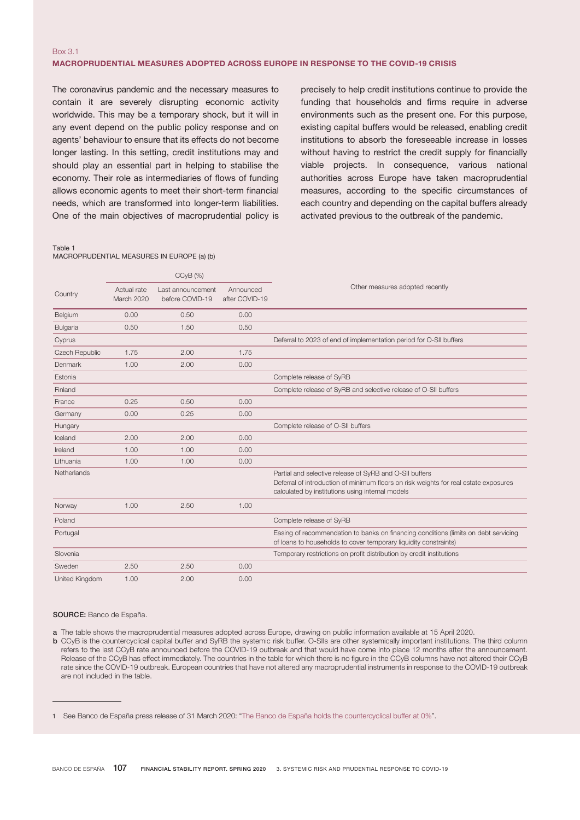## Box 3.1 MACROPRUDENTIAL MEASURES ADOPTED ACROSS EUROPE IN RESPONSE TO THE COVID-19 CRISIS

The coronavirus pandemic and the necessary measures to contain it are severely disrupting economic activity worldwide. This may be a temporary shock, but it will in any event depend on the public policy response and on agents' behaviour to ensure that its effects do not become longer lasting. In this setting, credit institutions may and should play an essential part in helping to stabilise the economy. Their role as intermediaries of flows of funding allows economic agents to meet their short-term financial needs, which are transformed into longer-term liabilities. One of the main objectives of macroprudential policy is precisely to help credit institutions continue to provide the funding that households and firms require in adverse environments such as the present one. For this purpose, existing capital buffers would be released, enabling credit institutions to absorb the foreseeable increase in losses without having to restrict the credit supply for financially viable projects. In consequence, various national authorities across Europe have taken macroprudential measures, according to the specific circumstances of each country and depending on the capital buffers already activated previous to the outbreak of the pandemic.

Table 1

## MACROPRUDENTIAL MEASURES IN EUROPE (a) (b)

|                | $CCyB (\%)$               |                                      |                             |                                                                                                                                                                                                     |
|----------------|---------------------------|--------------------------------------|-----------------------------|-----------------------------------------------------------------------------------------------------------------------------------------------------------------------------------------------------|
| Country        | Actual rate<br>March 2020 | Last announcement<br>before COVID-19 | Announced<br>after COVID-19 | Other measures adopted recently                                                                                                                                                                     |
| Belgium        | 0.00                      | 0.50                                 | 0.00                        |                                                                                                                                                                                                     |
| Bulgaria       | 0.50                      | 1.50                                 | 0.50                        |                                                                                                                                                                                                     |
| Cyprus         |                           |                                      |                             | Deferral to 2023 of end of implementation period for O-SII buffers                                                                                                                                  |
| Czech Republic | 1.75                      | 2.00                                 | 1.75                        |                                                                                                                                                                                                     |
| Denmark        | 1.00                      | 2.00                                 | 0.00                        |                                                                                                                                                                                                     |
| Estonia        |                           |                                      |                             | Complete release of SyRB                                                                                                                                                                            |
| Finland        |                           |                                      |                             | Complete release of SyRB and selective release of O-SII buffers                                                                                                                                     |
| France         | 0.25                      | 0.50                                 | 0.00                        |                                                                                                                                                                                                     |
| Germany        | 0.00                      | 0.25                                 | 0.00                        |                                                                                                                                                                                                     |
| Hungary        |                           |                                      |                             | Complete release of O-SII buffers                                                                                                                                                                   |
| Iceland        | 2.00                      | 2.00                                 | 0.00                        |                                                                                                                                                                                                     |
| Ireland        | 1.00                      | 1.00                                 | 0.00                        |                                                                                                                                                                                                     |
| Lithuania      | 1.00                      | 1.00                                 | 0.00                        |                                                                                                                                                                                                     |
| Netherlands    |                           |                                      |                             | Partial and selective release of SyRB and O-SII buffers<br>Deferral of introduction of minimum floors on risk weights for real estate exposures<br>calculated by institutions using internal models |
| Norway         | 1.00                      | 2.50                                 | 1.00                        |                                                                                                                                                                                                     |
| Poland         |                           |                                      |                             | Complete release of SyRB                                                                                                                                                                            |
| Portugal       |                           |                                      |                             | Easing of recommendation to banks on financing conditions (limits on debt servicing<br>of loans to households to cover temporary liquidity constraints)                                             |
| Slovenia       |                           |                                      |                             | Temporary restrictions on profit distribution by credit institutions                                                                                                                                |
| Sweden         | 2.50                      | 2.50                                 | 0.00                        |                                                                                                                                                                                                     |
| United Kingdom | 1.00                      | 2.00                                 | 0.00                        |                                                                                                                                                                                                     |

## SOURCE: Banco de España.

a The table shows the macroprudential measures adopted across Europe, drawing on public information available at 15 April 2020.

b CCyB is the countercyclical capital buffer and SyRB the systemic risk buffer. O-SIIs are other systemically important institutions. The third column refers to the last CCyB rate announced before the COVID-19 outbreak and that would have come into place 12 months after the announcement. Release of the CCyB has effect immediately. The countries in the table for which there is no figure in the CCyB columns have not altered their CCyB rate since the COVID-19 outbreak. European countries that have not altered any macroprudential instruments in response to the COVID-19 outbreak are not included in the table.

<sup>1</sup> See Banco de España press release of 31 March 2020: "[The Banco de España holds the countercyclical buffer at 0%](https://www.bde.es/f/webbde/GAP/Secciones/SalaPrensa/NotasInformativas/20/presbe2020_29en.pdf)".